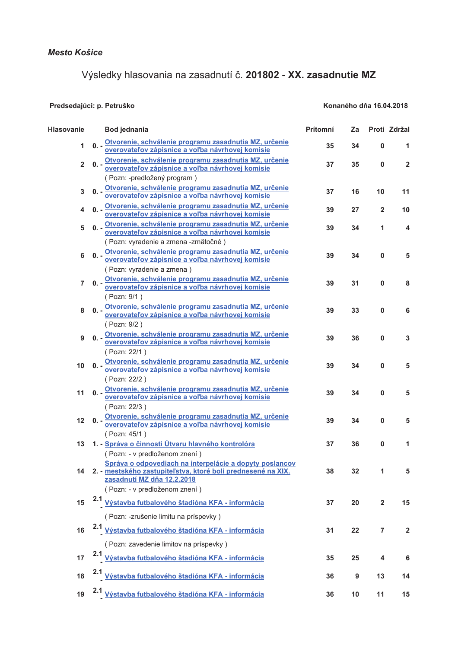Predsedajúci: p. Petruško

## Výsledky hlasovania na zasadnutí č. 201802 - XX. zasadnutie MZ

Konaného dňa 16.04.2018

## **Hlasovanie Bod jednania** Prítomní Za Proti Zdržal Otvorenie, schválenie programu zasadnutia MZ, určenie  $\mathbf{a}$  $25$  $34$  $\overline{a}$  $\overline{1}$  $\overline{1}$ overovateľov zápisnice a voľba návrhovej komisie Otvorenie, schválenie programu zasadnutia MZ, určenie  $\overline{2}$  $0. -$ 37 35  $\mathbf 0$  $\overline{2}$ overovateľov zápisnice a voľba návrhovej komisie (Pozn: -predložený program) Otvorenie, schválenie programu zasadnutia MZ, určenie 37 16 10  $11$ 3  $0.$ overovateľov zápisnice a voľba návrhovej komisie Otvorenie, schválenie programu zasadnutia MZ, určenie  $\overline{A}$  $\mathbf{a}$ .  $39$  $27$  $\overline{2}$  $10$ overovateľov zápisnice a voľba návrhovej komisie 0. - Otvorenie, schválenie programu zasadnutia MZ, určenie 5 39  $34$ 1  $\boldsymbol{\Delta}$ overovateľov zápisnice a voľba návrhovej komisie Pozn: vvradenie a zmena -zmätočné) 0. - Otvorenie, schválenie programu zasadnutia MZ, určenie **G** 39 34  $\mathbf{0}$ 5 overovateľov zápisnice a voľba návrhovej komisie (Pozn: vyradenie a zmena) 0. - Otvorenie, schválenie programu zasadnutia MZ, určenie  $\overline{7}$ 39  $31$  $\Omega$ 8 overovateľov zápisnice a voľba návrhovej komisie (Pozn: 9/1) 0. - Otvorenie, schválenie programu zasadnutia MZ, určenie 8 39 33  $\bf{0}$ 6 overovateľov zápisnice a voľba návrhovej komisie (Pozn: 9/2) 0. - Otvorenie, schválenie programu zasadnutia MZ, určenie  $39$  $\mathbf{Q}$  $36$  $\Omega$  $\mathbf{\mathbf{R}}$ overovateľov zápisnice a voľba návrhovej komisie (Pozn: 22/1) 0. - Otvorenie, schválenie programu zasadnutia MZ, určenie 39 34  $\mathbf 0$ 5  $10$ overovateľov zápisnice a voľba návrhovej komisie (Pozn: 22/2) 0. - Otvorenie, schválenie programu zasadnutia MZ, určenie  $11$ 39 34  $\mathbf{0}$ 5 overovateľov zápisnice a voľba návrhovej komisie (Pozn: 22/3) 0. - Otvorenie, schválenie programu zasadnutia MZ, určenie  $12$ 39 34  $\Omega$ 5 overovateľov zápisnice a voľba návrhovej komisie (Pozn: 45/1) 1. - Správa o činnosti Útvaru hlavného kontrolóra  $37$  $\Omega$ 1  $13$  $36$ (Pozn: - v predloženom znení) Správa o odpovediach na interpelácie a dopyty poslancov 2. - mestského zastupiteľstva, ktoré boli prednesené na XIX. 38  $32$  $\overline{1}$ 5  $14$ zasadnutí MZ dňa 12.2.2018 (Pozn: - v predloženom znení) Výstavba futbalového štadióna KFA - informácia 15 37 20  $\overline{2}$ 15 (Pozn: -zrušenie limitu na príspevky)  $2.1$ Výstavba futbalového štadióna KFA - informácia 22  $\overline{7}$  $\overline{2}$ 16  $31$ (Pozn: zavedenie limitov na príspevky)  $2.1$ Výstavba futbalového štadióna KFA - informácia  $17$ 35 25  $\overline{\mathbf{4}}$ 6 2.1 Výstavba futbalového štadióna KFA - informácia 18 36 9  $13$  $14$ 2.1 Výstavba futbalového štadióna KFA - informácia 19  $36$  $10$  $11$  $15$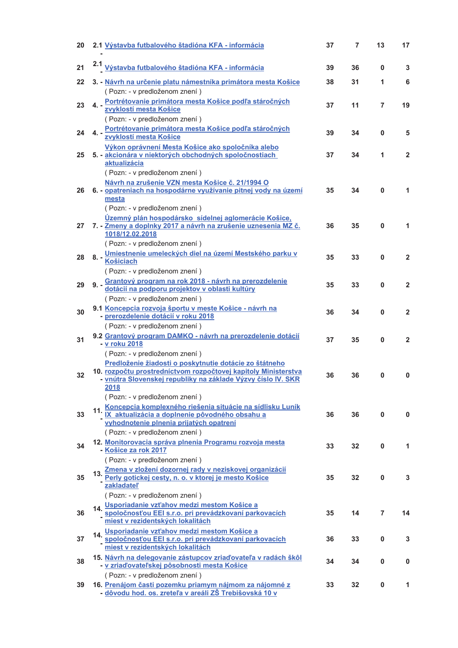| 20 | 2.1 Výstavba futbalového štadióna KFA - informácia                                                                                                                                                                                | 37 | 7  | 13 | 17           |
|----|-----------------------------------------------------------------------------------------------------------------------------------------------------------------------------------------------------------------------------------|----|----|----|--------------|
| 21 | 2.1 Výstavba futbalového štadióna KFA - informácia                                                                                                                                                                                | 39 | 36 | 0  | 3            |
| 22 | 3. - Návrh na určenie platu námestníka primátora mesta Košice<br>(Pozn: - v predloženom znení)                                                                                                                                    | 38 | 31 | 1  | 6            |
| 23 | 4. Portrétovanie primátora mesta Košice podľa stáročných<br>zvyklostí mesta Košice<br>(Pozn: - v predloženom znení)                                                                                                               | 37 | 11 | 7  | 19           |
| 24 | 4. Portrétovanie primátora mesta Košice podľa stáročných<br>zvyklostí mesta Košice                                                                                                                                                | 39 | 34 | 0  | 5            |
| 25 | <u>Výkon oprávnení Mesta Košice ako spoločníka alebo</u><br>5. - akcionára v niektorých obchodných spoločnostiach<br>aktualizácia                                                                                                 | 37 | 34 | 1  | $\mathbf{2}$ |
| 26 | (Pozn: - v predloženom znení)<br>Návrh na zrušenie VZN mesta Košice č. 21/1994 O<br>6. - opatreniach na hospodárne využívanie pitnej vody na území<br>mesta<br>(Pozn: - v predloženom znení)                                      | 35 | 34 | 0  | 1            |
| 27 | Územný plán hospodársko sídelnej aglomerácie Košice,<br>7. - Zmeny a doplnky 2017 a návrh na zrušenie uznesenia MZ č.<br>1018/12.02.2018                                                                                          | 36 | 35 | 0  | 1            |
| 28 | (Pozn: - v predloženom znení)<br>8. - Umiestnenie umeleckých diel na území Mestského parku v<br>Košiciach<br>(Pozn: - v predloženom znení)                                                                                        | 35 | 33 | 0  | $\mathbf{2}$ |
| 29 | 9. - Grantový program na rok 2018 - návrh na prerozdelenie<br>dotácií na podporu projektov v oblasti kultúry<br>(Pozn: - v predloženom znení)                                                                                     | 35 | 33 | 0  | $\mathbf{2}$ |
| 30 | 9.1 Koncepcia rozvoja športu v meste Košice - návrh na<br>- prerozdelenie dotácií v roku 2018                                                                                                                                     | 36 | 34 | 0  | $\mathbf{2}$ |
| 31 | (Pozn: - v predloženom znení)<br>9.2 Grantový program DAMKO - návrh na prerozdelenie dotácií<br>- v roku 2018                                                                                                                     | 37 | 35 | 0  | $\mathbf{2}$ |
| 32 | (Pozn: - v predloženom znení)<br>Predloženie žiadosti o poskytnutie dotácie zo štátneho<br>10. rozpočtu prostredníctvom rozpočtovej kapitoly Ministerstva<br>- vnútra Slovenskej republiky na základe Výzvy číslo IV. SKR<br>2018 | 36 | 36 | 0  | 0            |
| 33 | (Pozn: - v predloženom znení)<br>11. Koncepcia komplexného riešenia situácie na sídlisku Luník<br>IX aktualizácia a doplnenie pôvodného obsahu a<br>vyhodnotenie plnenia prijatých opatrení<br>(Pozn: - v predloženom znení)      | 36 | 36 | 0  | $\bf{0}$     |
| 34 | 12. Monitorovacia správa plnenia Programu rozvoja mesta<br>- Košice za rok 2017<br>(Pozn: - v predloženom znení)                                                                                                                  | 33 | 32 | 0  | 1.           |
| 35 | Zmena v zložení dozornej rady v neziskovej organizácií<br>13.<br>Perly gotickej cesty, n. o. v ktorej je mesto Košice<br>zakladateľ<br>(Pozn: - v predloženom znení)                                                              | 35 | 32 | 0  | 3            |
| 36 | 14. Usporiadanie vzťahov medzi mestom Košice a<br>spoločnosťou EEI s.r.o. pri prevádzkovaní parkovacích<br>miest v rezidentských lokalitách                                                                                       | 35 | 14 | 7  | 14           |
| 37 | 14. Usporiadanie vzťahov medzi mestom Košice a<br><u>spoločnosťou EEI s.r.o. pri prevádzkovaní parkovacích</u><br>miest v rezidentských lokalitách                                                                                | 36 | 33 | 0  | 3            |
| 38 | 15. Návrh na delegovanie zástupcov zriaďovateľa v radách škôl<br>- v zriaďovateľskej pôsobnosti mesta Košice<br>(Pozn: - v predloženom znení)                                                                                     | 34 | 34 | 0  | 0            |
| 39 | 16. Prenájom časti pozemku priamym nájmom za nájomné z<br>- dôvodu hod. os. zreteľa v areáli ZŠ Trebišovská 10 v                                                                                                                  | 33 | 32 | 0  | 1            |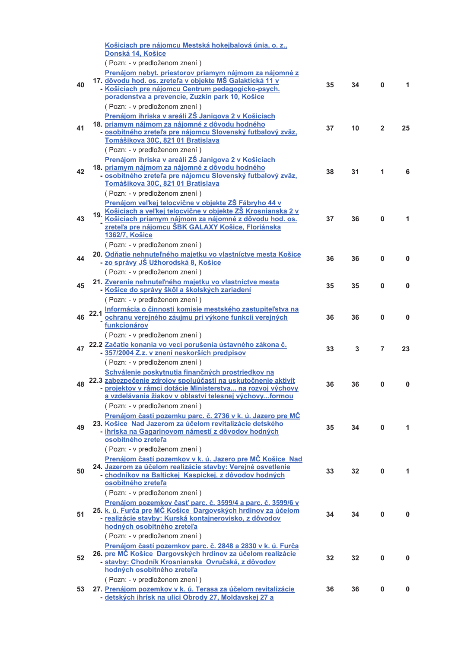|    |      | Košiciach pre nájomcu Mestská hokejbalová únia, o. z.,                                                                       |    |    |                |    |
|----|------|------------------------------------------------------------------------------------------------------------------------------|----|----|----------------|----|
|    |      | Donská 14, Košice                                                                                                            |    |    |                |    |
|    |      | (Pozn: - v predloženom znení)                                                                                                |    |    |                |    |
|    |      | Prenájom nebyt. priestorov priamym nájmom za nájomné z                                                                       |    |    |                |    |
| 40 |      | 17. dôvodu hod. os. zreteľa v objekte MŠ Galaktická 11 v                                                                     | 35 | 34 | $\bf{0}$       | 1. |
|    |      | - Košiciach pre nájomcu Centrum pedagogicko-psych.                                                                           |    |    |                |    |
|    |      | poradenstva a prevencie, Zuzkin park 10, Košice                                                                              |    |    |                |    |
|    |      | (Pozn: - v predloženom znení)                                                                                                |    |    |                |    |
|    |      | Prenájom ihriska v areáli ZŠ Janigova 2 v Košiciach                                                                          |    |    |                |    |
| 41 |      | 18. priamym nájmom za nájomné z dôvodu hodného<br>- osobitného zreteľa pre nájomcu Slovenský futbalový zväz,                 | 37 | 10 | $\overline{2}$ | 25 |
|    |      | Tomášikova 30C, 821 01 Bratislava                                                                                            |    |    |                |    |
|    |      | (Pozn: - v predloženom znení)                                                                                                |    |    |                |    |
|    |      | Prenájom ihriska v areáli ZŠ Janigova 2 v Košiciach                                                                          |    |    |                |    |
|    |      | 18. priamym nájmom za nájomné z dôvodu hodného                                                                               |    |    |                |    |
| 42 |      | - osobitného zreteľa pre nájomcu Slovenský futbalový zväz,                                                                   | 38 | 31 | 1              | 6  |
|    |      | Tomášikova 30C, 821 01 Bratislava                                                                                            |    |    |                |    |
|    |      | (Pozn: - v predloženom znení)                                                                                                |    |    |                |    |
|    |      | Prenájom veľkej telocvične v objekte ZŠ Fábryho 44 v                                                                         |    |    |                |    |
|    |      | 19. Košiciach a veľkej telocvične v objekte ZŠ Krosnianska 2 v                                                               |    |    |                |    |
| 43 |      | Košiciach priamym nájmom za nájomné z dôvodu hod. os.                                                                        | 37 | 36 | 0              | 1  |
|    |      | zreteľa pre nájomcu ŠBK GALAXY Košice, Floriánska<br><b>1362/7, Košice</b>                                                   |    |    |                |    |
|    |      |                                                                                                                              |    |    |                |    |
|    |      | (Pozn: - v predloženom znení)                                                                                                |    |    |                |    |
| 44 |      | 20. Odňatie nehnuteľného majetku vo vlastníctve mesta Košice<br><u>- zo správy JŠ Užhorodská 8, Košice</u>                   | 36 | 36 | 0              | 0  |
|    |      | (Pozn: - v predloženom znení)                                                                                                |    |    |                |    |
|    |      |                                                                                                                              |    |    |                |    |
| 45 |      | 21. Zverenie nehnuteľného majetku vo vlastníctve mesta<br>- Košice do správy škôl a školských zariadení                      | 35 | 35 | 0              | 0  |
|    |      | (Pozn: - v predloženom znení)                                                                                                |    |    |                |    |
|    |      |                                                                                                                              |    |    |                |    |
| 46 | 22.1 | Informácia o činnosti komisie mestského zastupiteľstva na<br>ochranu verejného záujmu pri výkone funkcií verejných           | 36 | 36 | 0              | 0  |
|    |      | funkcionárov                                                                                                                 |    |    |                |    |
|    |      |                                                                                                                              |    |    |                |    |
|    |      |                                                                                                                              |    |    |                |    |
|    |      | (Pozn: - v predloženom znení)                                                                                                |    |    |                |    |
| 47 |      | 22.2 Začatie konania vo veci porušenia ústavného zákona č.<br>- 357/2004 Z.z. v znení neskorších predpisov                   | 33 | 3  | 7              | 23 |
|    |      |                                                                                                                              |    |    |                |    |
|    |      | (Pozn: - v predloženom znení)                                                                                                |    |    |                |    |
|    |      | Schválenie poskytnutia finančných prostriedkov na                                                                            |    |    |                |    |
|    |      | 22.3 zabezpečenie zdrojov spoluúčasti na uskutočnenie aktivít<br>- projektov v rámci dotácie Ministerstva  na rozvoj výchovy | 36 | 36 | 0              | 0  |
|    |      | a vzdelávania žiakov v oblastvi telesnej výchovyformou                                                                       |    |    |                |    |
|    |      | (Pozn: - v predloženom znení)                                                                                                |    |    |                |    |
|    |      | <u>Prenájom časti pozemku parc. č. 2736 v k. ú. Jazero pre MČ</u>                                                            |    |    |                |    |
| 49 |      | 23. Košice Nad Jazerom za účelom revitalizácie detského                                                                      | 35 | 34 | $\mathbf{0}$   | 1  |
|    |      | - ihriska na Gagarinovom námestí z dôvodov hodných                                                                           |    |    |                |    |
|    |      | osobitného zreteľa                                                                                                           |    |    |                |    |
|    |      | (Pozn: - v predloženom znení)                                                                                                |    |    |                |    |
|    |      | Prenájom častí pozemkov v k. ú. Jazero pre MČ Košice Nad                                                                     |    |    |                |    |
| 50 |      | 24. Jazerom za účelom realizácie stavby: Verejné osvetlenie                                                                  | 33 | 32 | 0              | 1  |
|    |      | - chodníkov na Baltickej Kaspickej, z dôvodov hodných<br>osobitného zreteľa                                                  |    |    |                |    |
|    |      | (Pozn: - v predloženom znení)                                                                                                |    |    |                |    |
|    |      |                                                                                                                              |    |    |                |    |
|    |      | Prenájom pozemkov časť parc. č. 3599/4 a parc. č. 3599/6 v<br>25. k. ú. Furča pre MČ Košice Dargovských hrdinov za účelom    |    |    |                |    |
| 51 |      | - realizácie stavby: Kurská kontajnerovisko, z dôvodov                                                                       | 34 | 34 | 0              | 0  |
|    |      | hodných osobitného zreteľa                                                                                                   |    |    |                |    |
|    |      | (Pozn: - v predloženom znení)                                                                                                |    |    |                |    |
|    |      | Prenájom častí pozemkov parc. č. 2848 a 2830 v k. ú. Furča                                                                   |    |    |                |    |
| 52 |      | 26. pre MČ Košice Dargovských hrdinov za účelom realizácie                                                                   | 32 | 32 | $\mathbf{0}$   | 0  |
|    |      | - stavby: Chodník Krosnianska Ovručská, z dôvodov                                                                            |    |    |                |    |
|    |      | hodných osobitného zreteľa                                                                                                   |    |    |                |    |
|    |      | (Pozn: - v predloženom znení)                                                                                                |    |    |                |    |
| 53 |      | 27. Prenájom pozemkov v k. ú. Terasa za účelom revitalizácie<br>- detských ihrísk na ulici Obrody 27, Moldavskej 27 a        | 36 | 36 | 0              | 0  |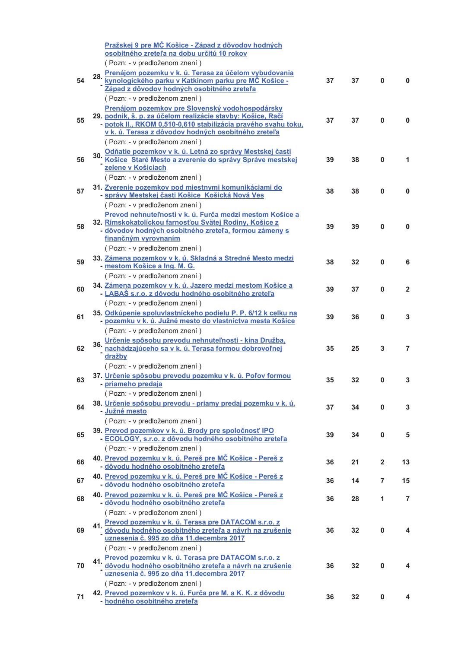|    |     | Pražskej 9 pre MČ Košice - Západ z dôvodov hodných                                                                     |    |    |              |                |
|----|-----|------------------------------------------------------------------------------------------------------------------------|----|----|--------------|----------------|
|    |     | osobitného zreteľa na dobu určitú 10 rokov                                                                             |    |    |              |                |
|    |     | (Pozn: - v predloženom znení)                                                                                          |    |    |              |                |
|    | 28. | Prenájom pozemku v k. ú. Terasa za účelom vybudovania                                                                  |    |    |              |                |
| 54 |     | <u>kynologického parku v Katkinom parku pre MČ Košice -</u><br>Západ z dôvodov hodných osobitného zreteľa              | 37 | 37 | $\mathbf{0}$ | 0              |
|    |     | (Pozn: - v predloženom znení)                                                                                          |    |    |              |                |
|    |     | Prenájom pozemkov pre Slovenský vodohospodársky                                                                        |    |    |              |                |
| 55 |     | 29. podnik, š. p. za účelom realizácie stavby: Košice, Račí                                                            | 37 | 37 | 0            | $\mathbf{0}$   |
|    |     | - potok II., RKOM 0,510-0,610 stabilizácia pravého svahu toku,                                                         |    |    |              |                |
|    |     | v k. ú. Terasa z dôvodov hodných osobitného zreteľa                                                                    |    |    |              |                |
|    |     | (Pozn: - v predloženom znení)                                                                                          |    |    |              |                |
| 56 |     | 30. Odňatie pozemkov v k. ú. Letná zo správy Mestskej časti<br>Košice Staré Mesto a zverenie do správy Správe mestskej | 39 | 38 | 0            | 1              |
|    |     | zelene v Košiciach                                                                                                     |    |    |              |                |
|    |     | (Pozn: - v predloženom znení)                                                                                          |    |    |              |                |
| 57 |     | 31. Zverenie pozemkov pod miestnymi komunikáciami do                                                                   | 38 | 38 | 0            | 0              |
|    |     | - správy Mestskej časti Košice Košická Nová Ves                                                                        |    |    |              |                |
|    |     | (Pozn: - v predloženom znení)                                                                                          |    |    |              |                |
|    |     | Prevod nehnuteľností v k. ú. Furča medzi mestom Košice a<br>32. Rímskokatolíckou farnosťou Svätej Rodiny, Košice z     |    |    |              |                |
| 58 |     | - dôvodov hodných osobitného zreteľa, formou zámeny s                                                                  | 39 | 39 | 0            | $\mathbf 0$    |
|    |     | finančným vyrovnaním                                                                                                   |    |    |              |                |
|    |     | (Pozn: - v predloženom znení)                                                                                          |    |    |              |                |
| 59 |     | 33. Zámena pozemkov v k. ú. Skladná a Stredné Mesto medzi                                                              | 38 | 32 | 0            | 6              |
|    |     | - mestom Košice a Ing. M. G.                                                                                           |    |    |              |                |
|    |     | (Pozn: - v predloženom znení)                                                                                          |    |    |              |                |
| 60 |     | 34. Zámena pozemkov v k. ú. Jazero medzi mestom Košice a<br>- LABAŠ s.r.o. z dôvodu hodného osobitného zreteľa         | 39 | 37 | 0            | $\overline{2}$ |
|    |     | (Pozn: - v predloženom znení)                                                                                          |    |    |              |                |
|    |     | 35. Odkúpenie spoluvlastníckeho podielu P. P. 6/12 k celku na                                                          |    |    |              |                |
| 61 |     | - pozemku v k. ú. Južné mesto do vlastníctva mesta Košice                                                              | 39 | 36 | 0            | 3              |
|    |     | (Pozn: - v predloženom znení)                                                                                          |    |    |              |                |
|    |     | 36. Určenie spôsobu prevodu nehnuteľnosti - kina Družba.<br>Nachádzajúceho sa v k. ú. Terasa formou dobrovoľnej        |    |    |              |                |
| 62 |     | dražby                                                                                                                 | 35 | 25 | 3            | $\overline{7}$ |
|    |     | (Pozn: - v predloženom znení)                                                                                          |    |    |              |                |
|    |     | 37. Určenie spôsobu prevodu pozemku v k. ú. Poľov formou                                                               |    |    |              |                |
| 63 |     | - priameho predaja                                                                                                     | 35 | 32 | 0            | 3              |
|    |     | (Pozn: - v predloženom znení)                                                                                          |    |    |              |                |
| 64 |     | 38. Určenie spôsobu prevodu - priamy predaj pozemku v k. ú.                                                            | 37 | 34 | $\mathbf 0$  | 3              |
|    |     | - Južné mesto                                                                                                          |    |    |              |                |
|    |     | (Pozn: - v predloženom znení)                                                                                          |    |    |              |                |
| 65 |     | 39. Prevod pozemkov v k. ú. Brody pre spoločnosť IPO<br>- ECOLOGY, s.r.o. z dôvodu hodného osobitného zreteľa          | 39 | 34 | $\mathbf 0$  | 5              |
|    |     | (Pozn: - v predloženom znení)                                                                                          |    |    |              |                |
|    |     | 40. Prevod pozemku v k. ú. Pereš pre MČ Košice - Pereš z                                                               |    |    |              |                |
| 66 |     | - dôvodu hodného osobitného zreteľa                                                                                    | 36 | 21 | $\mathbf{2}$ | 13             |
| 67 |     | 40. Prevod pozemku v k. ú. Pereš pre MČ Košice - Pereš z                                                               | 36 | 14 | 7            | 15             |
|    |     | - dôvodu hodného osobitného zreteľa                                                                                    |    |    |              |                |
| 68 |     | 40. Prevod pozemku v k. ú. Pereš pre MČ Košice - Pereš z                                                               | 36 | 28 | 1            | $\overline{7}$ |
|    |     | - dôvodu hodného osobitného zreteľa                                                                                    |    |    |              |                |
|    |     | (Pozn: - v predloženom znení)<br>Prevod pozemku v k. ú. Terasa pre DATACOM s.r.o. z                                    |    |    |              |                |
| 69 | 41. | dôvodu hodného osobitného zreteľa a návrh na zrušenie                                                                  | 36 | 32 | 0            | 4              |
|    |     | uznesenia č. 995 zo dňa 11.decembra 2017                                                                               |    |    |              |                |
|    |     | (Pozn: - v predloženom znení)                                                                                          |    |    |              |                |
|    |     | 41. Prevod pozemku v k. ú. Terasa pre DATACOM s.r.o. z                                                                 |    |    |              |                |
| 70 |     | dôvodu hodného osobitného zreteľa a návrh na zrušenie<br>uznesenia č. 995 zo dňa 11. decembra 2017                     | 36 | 32 | $\pmb{0}$    | 4              |
|    |     | (Pozn: - v predloženom znení)                                                                                          |    |    |              |                |
|    |     | 42. Prevod pozemkov v k. ú. Furča pre M. a K. K. z dôvodu                                                              |    |    |              |                |
| 71 |     | - hodného osobitného zreteľa                                                                                           | 36 | 32 | 0            | 4              |